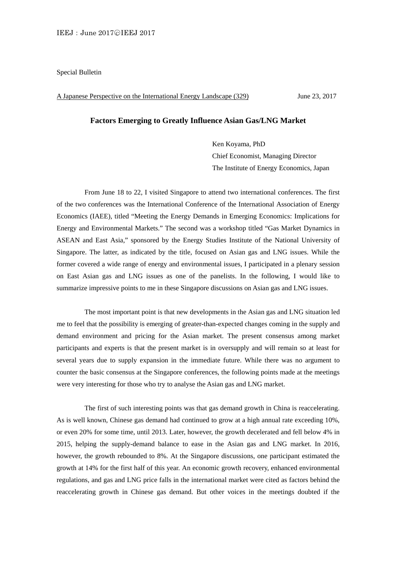Special Bulletin

A Japanese Perspective on the International Energy Landscape (329) June 23, 2017

## **Factors Emerging to Greatly Influence Asian Gas/LNG Market**

Ken Koyama, PhD Chief Economist, Managing Director The Institute of Energy Economics, Japan

 From June 18 to 22, I visited Singapore to attend two international conferences. The first of the two conferences was the International Conference of the International Association of Energy Economics (IAEE), titled "Meeting the Energy Demands in Emerging Economics: Implications for Energy and Environmental Markets." The second was a workshop titled "Gas Market Dynamics in ASEAN and East Asia," sponsored by the Energy Studies Institute of the National University of Singapore. The latter, as indicated by the title, focused on Asian gas and LNG issues. While the former covered a wide range of energy and environmental issues, I participated in a plenary session on East Asian gas and LNG issues as one of the panelists. In the following, I would like to summarize impressive points to me in these Singapore discussions on Asian gas and LNG issues.

 The most important point is that new developments in the Asian gas and LNG situation led me to feel that the possibility is emerging of greater-than-expected changes coming in the supply and demand environment and pricing for the Asian market. The present consensus among market participants and experts is that the present market is in oversupply and will remain so at least for several years due to supply expansion in the immediate future. While there was no argument to counter the basic consensus at the Singapore conferences, the following points made at the meetings were very interesting for those who try to analyse the Asian gas and LNG market.

 The first of such interesting points was that gas demand growth in China is reaccelerating. As is well known, Chinese gas demand had continued to grow at a high annual rate exceeding 10%, or even 20% for some time, until 2013. Later, however, the growth decelerated and fell below 4% in 2015, helping the supply-demand balance to ease in the Asian gas and LNG market. In 2016, however, the growth rebounded to 8%. At the Singapore discussions, one participant estimated the growth at 14% for the first half of this year. An economic growth recovery, enhanced environmental regulations, and gas and LNG price falls in the international market were cited as factors behind the reaccelerating growth in Chinese gas demand. But other voices in the meetings doubted if the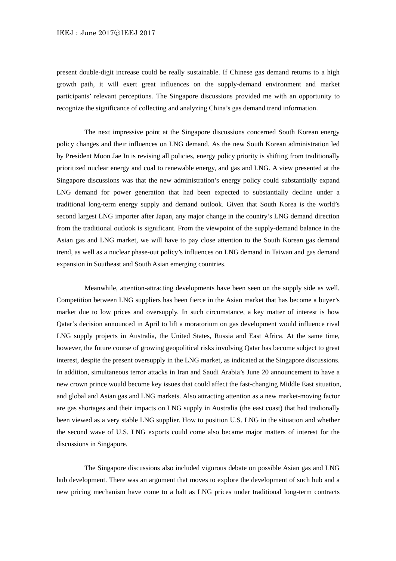## IEEJ: June 2017©IEEJ 2017

present double-digit increase could be really sustainable. If Chinese gas demand returns to a high growth path, it will exert great influences on the supply-demand environment and market participants' relevant perceptions. The Singapore discussions provided me with an opportunity to recognize the significance of collecting and analyzing China's gas demand trend information.

 The next impressive point at the Singapore discussions concerned South Korean energy policy changes and their influences on LNG demand. As the new South Korean administration led by President Moon Jae In is revising all policies, energy policy priority is shifting from traditionally prioritized nuclear energy and coal to renewable energy, and gas and LNG. A view presented at the Singapore discussions was that the new administration's energy policy could substantially expand LNG demand for power generation that had been expected to substantially decline under a traditional long-term energy supply and demand outlook. Given that South Korea is the world's second largest LNG importer after Japan, any major change in the country's LNG demand direction from the traditional outlook is significant. From the viewpoint of the supply-demand balance in the Asian gas and LNG market, we will have to pay close attention to the South Korean gas demand trend, as well as a nuclear phase-out policy's influences on LNG demand in Taiwan and gas demand expansion in Southeast and South Asian emerging countries.

 Meanwhile, attention-attracting developments have been seen on the supply side as well. Competition between LNG suppliers has been fierce in the Asian market that has become a buyer's market due to low prices and oversupply. In such circumstance, a key matter of interest is how Qatar's decision announced in April to lift a moratorium on gas development would influence rival LNG supply projects in Australia, the United States, Russia and East Africa. At the same time, however, the future course of growing geopolitical risks involving Qatar has become subject to great interest, despite the present oversupply in the LNG market, as indicated at the Singapore discussions. In addition, simultaneous terror attacks in Iran and Saudi Arabia's June 20 announcement to have a new crown prince would become key issues that could affect the fast-changing Middle East situation, and global and Asian gas and LNG markets. Also attracting attention as a new market-moving factor are gas shortages and their impacts on LNG supply in Australia (the east coast) that had tradionally been viewed as a very stable LNG supplier. How to position U.S. LNG in the situation and whether the second wave of U.S. LNG exports could come also became major matters of interest for the discussions in Singapore.

 The Singapore discussions also included vigorous debate on possible Asian gas and LNG hub development. There was an argument that moves to explore the development of such hub and a new pricing mechanism have come to a halt as LNG prices under traditional long-term contracts